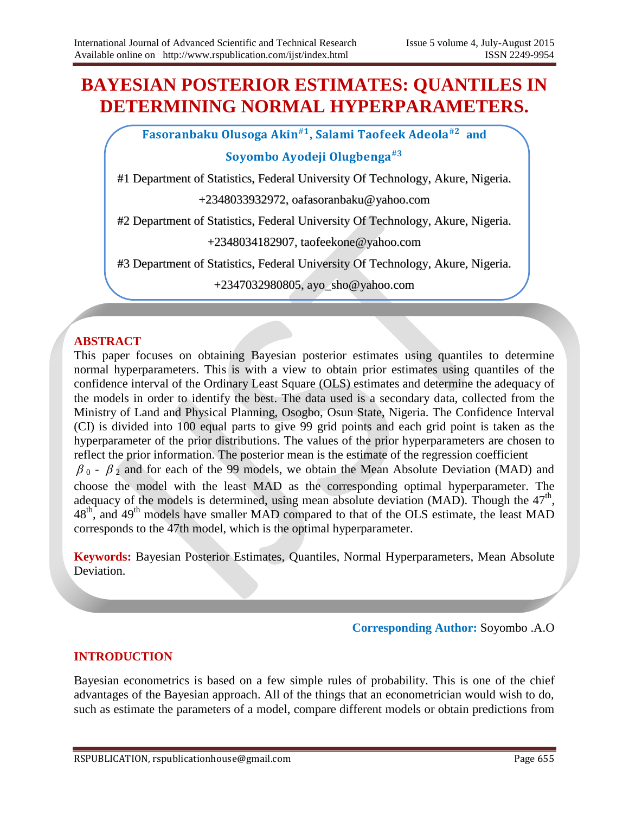# **BAYESIAN POSTERIOR ESTIMATES: QUANTILES IN DETERMINING NORMAL HYPERPARAMETERS.**

Fasoranbaku Olusoga Akin<sup>#1</sup>, Salami Taofeek Adeola<sup>#2</sup> and

# Soyombo Ayodeji Olugbenga $^{\text{\#3}}$

#1 Department of Statistics, Federal University Of Technology, Akure, Nigeria.

+2348033932972, oafasoranbaku@yahoo.com

#2 Department of Statistics, Federal University Of Technology, Akure, Nigeria.

+2348034182907, taofeekone@yahoo.com

#3 Department of Statistics, Federal University Of Technology, Akure, Nigeria.

+2347032980805, ayo\_sho@yahoo.com

## **ABSTRACT**

This paper focuses on obtaining Bayesian posterior estimates using quantiles to determine normal hyperparameters. This is with a view to obtain prior estimates using quantiles of the confidence interval of the Ordinary Least Square (OLS) estimates and determine the adequacy of the models in order to identify the best. The data used is a secondary data, collected from the Ministry of Land and Physical Planning, Osogbo, Osun State, Nigeria. The Confidence Interval (CI) is divided into 100 equal parts to give 99 grid points and each grid point is taken as the hyperparameter of the prior distributions. The values of the prior hyperparameters are chosen to reflect the prior information. The posterior mean is the estimate of the regression coefficient  $\beta_0$  -  $\beta_2$  and for each of the 99 models, we obtain the Mean Absolute Deviation (MAD) and choose the model with the least MAD as the corresponding optimal hyperparameter. The adequacy of the models is determined, using mean absolute deviation (MAD). Though the  $47<sup>th</sup>$ , 48<sup>th</sup>, and 49<sup>th</sup> models have smaller MAD compared to that of the OLS estimate, the least MAD corresponds to the 47th model, which is the optimal hyperparameter.

**Keywords:** Bayesian Posterior Estimates, Quantiles, Normal Hyperparameters, Mean Absolute Deviation.

#### **Corresponding Author:** Soyombo .A.O

### **INTRODUCTION**

Bayesian econometrics is based on a few simple rules of probability. This is one of the chief advantages of the Bayesian approach. All of the things that an econometrician would wish to do, such as estimate the parameters of a model, compare different models or obtain predictions from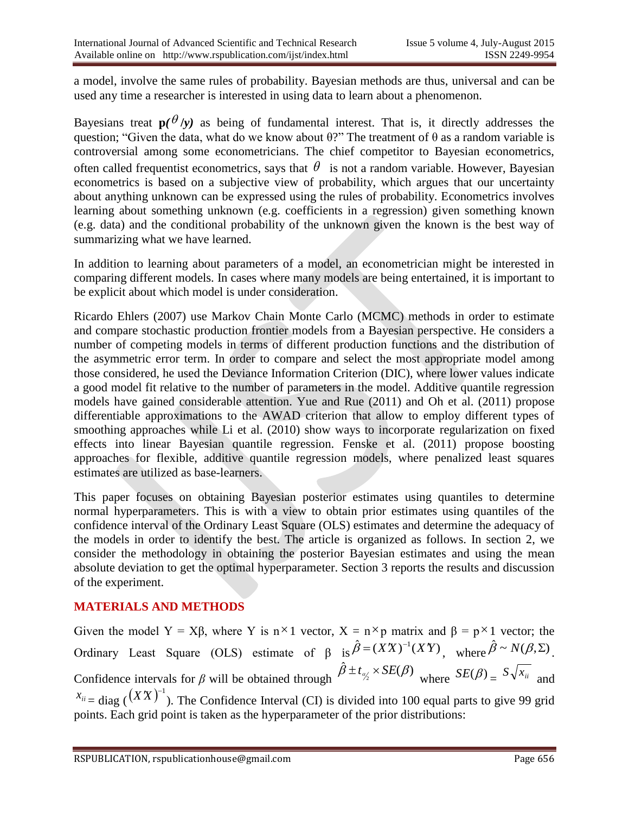a model, involve the same rules of probability. Bayesian methods are thus, universal and can be used any time a researcher is interested in using data to learn about a phenomenon.

Bayesians treat  $p(\theta|y)$  as being of fundamental interest. That is, it directly addresses the question; "Given the data, what do we know about  $\theta$ ?" The treatment of  $\theta$  as a random variable is controversial among some econometricians. The chief competitor to Bayesian econometrics, often called frequentist econometrics, says that  $\theta$  is not a random variable. However, Bayesian econometrics is based on a subjective view of probability, which argues that our uncertainty about anything unknown can be expressed using the rules of probability. Econometrics involves learning about something unknown (e.g. coefficients in a regression) given something known (e.g. data) and the conditional probability of the unknown given the known is the best way of summarizing what we have learned.

In addition to learning about parameters of a model, an econometrician might be interested in comparing different models. In cases where many models are being entertained, it is important to be explicit about which model is under consideration.

Ricardo Ehlers (2007) use Markov Chain Monte Carlo (MCMC) methods in order to estimate and compare stochastic production frontier models from a Bayesian perspective. He considers a number of competing models in terms of different production functions and the distribution of the asymmetric error term. In order to compare and select the most appropriate model among those considered, he used the Deviance Information Criterion (DIC), where lower values indicate a good model fit relative to the number of parameters in the model. Additive quantile regression models have gained considerable attention. Yue and Rue (2011) and Oh et al. (2011) propose differentiable approximations to the AWAD criterion that allow to employ different types of smoothing approaches while Li et al. (2010) show ways to incorporate regularization on fixed effects into linear Bayesian quantile regression. Fenske et al. (2011) propose boosting approaches for flexible, additive quantile regression models, where penalized least squares estimates are utilized as base-learners.

This paper focuses on obtaining Bayesian posterior estimates using quantiles to determine normal hyperparameters. This is with a view to obtain prior estimates using quantiles of the confidence interval of the Ordinary Least Square (OLS) estimates and determine the adequacy of the models in order to identify the best. The article is organized as follows. In section 2, we consider the methodology in obtaining the posterior Bayesian estimates and using the mean absolute deviation to get the optimal hyperparameter. Section 3 reports the results and discussion of the experiment.

## **MATERIALS AND METHODS**

Given the model Y = X $\beta$ , where Y is n<sup>×</sup>1 vector, X = n<sup>×</sup>p matrix and  $\beta$  = p<sup>×</sup>1 vector; the Ordinary Least Square (OLS) estimate of  $\beta$  is  $\hat{\beta} = (XX)^{-1}(XY)$ , where  $\hat{\beta} \sim N(\beta, \Sigma)$ . Confidence intervals for *β* will be obtained through  $\hat{\beta} \pm t_{\alpha/2} \times SE(\beta)$  where  $SE(\beta) = S\sqrt{x_{ii}}$  and  $x_{ii}$  = diag ( $(XX)^{-1}$ ). The Confidence Interval (CI) is divided into 100 equal parts to give 99 grid points. Each grid point is taken as the hyperparameter of the prior distributions: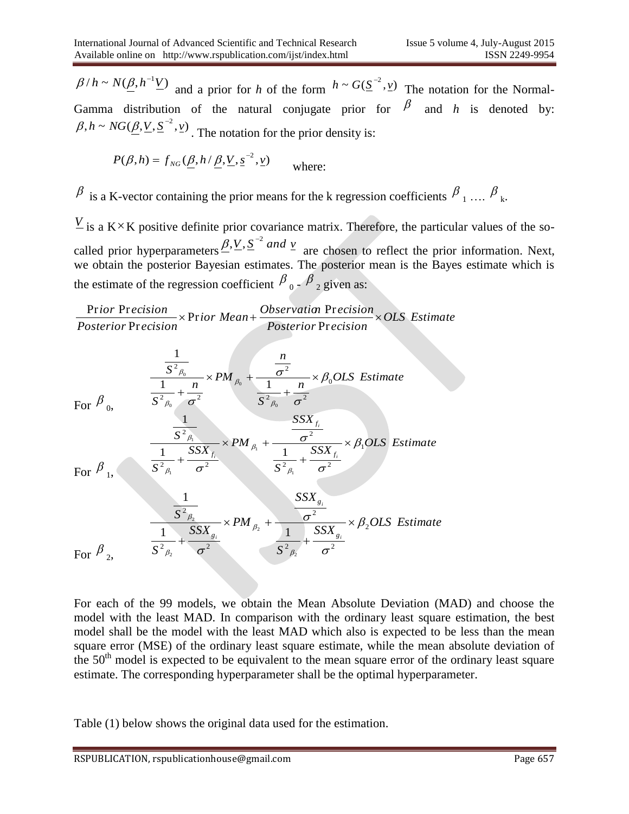$\beta/h \sim N(\underline{\beta}, h^{-1}\underline{V})$  and a prior for *h* of the form  $h \sim G(\underline{S}^{-2}, \underline{v})$  The notation for the Normal-Gamma distribution of the natural conjugate prior for  $\beta$  and *h* is denoted by:  $\beta, h \sim NG(\underline{\beta}, \underline{V}, \underline{S}^{-2}, \underline{v})$ . The notation for the prior density is:

$$
P(\beta, h) = f_{NG}(\underline{\beta}, h / \underline{\beta}, \underline{V}, \underline{s}^{-2}, \underline{v})
$$
 where:

 $\beta$  is a K-vector containing the prior means for the k regression coefficients  $\beta_1 \dots \beta_k$ .

 $\frac{V}{I}$  is a K<sup> $\times$ </sup>K positive definite prior covariance matrix. Therefore, the particular values of the socalled prior hyperparameters  $\frac{\beta}{\gamma}$ . S<sup>-2</sup> and *v*<sub>2</sub> are chosen to reflect the prior information. Next, we obtain the posterior Bayesian estimates. The posterior mean is the Bayes estimate which is the estimate of the regression coefficient  $\beta_0$  -  $\beta_2$  given as:

*OLS Estimate*  $Posterior$  Precision *ior Mean*+ *Observation* Precision  $Posterior$  **Precision**  $\frac{1}{2}$  *ior* **Precision**<br> $\times$  **Prior** *Mean* +  $\frac{Observation}{2}$   $\times$ <sup>2</sup> g<br>
<sup>p</sup> F  $\mu$  botain the posterior Bayesian estimates. The posterior<br>
estimate of the regression coefficient  $\frac{\beta_0 - \beta_2}{\beta_2}$  given<br>
Prior Precision  $\times$  Prior Mean +  $\frac{Observation}{Posterior Precision}$ e c<br>:ec<br>Pr

β/*h* ~ *N*(β, h<sup>-1</sup>*V*) and a prior for *h* of the form 
$$
h \sim G(\underline{S}^{-2}, v)
$$
 The notation for the Normal-  
Gamma distribution of the natural conjugate prior for  $\beta$  and *h* is denoted by:  
β, h ~ *N*G( $\underline{\beta}, V, S^{-2}, v$ ). The notation for the prior density is:  
 $P(\beta, h) = f_{NC}(\underline{\beta}, h/\underline{\beta}, V, s^{-2}, v)$  where:  
 $\beta$  is a K-vector containing the prior means for the k regression coefficients  $\beta_1, ..., \beta_k$ .  
 $\underline{V}$  is a K<sup>×</sup>K positive definite prior covariance matrix. Therefore, the particular values of the so-  
called prior hyperparameters  $\underline{\beta}, V, \underline{S}^{-2}$  and  $\underline{v}$  are chosen to reflect the prior information. Next,  
we obtain the posterior Bayesian estimates. The posterior mean is the Bayes estimate which is  
the estimate of the regression coefficient  $\beta_0 = \beta_2$  given as:  

$$
\frac{Prior Precision}{Posterior Precision} \times Prior Mean + \frac{Observation2}{Posterior Precision} \times OIS \text{ Estimate}
$$
  

$$
\frac{1}{S^2 \beta_0} \times P M_{\beta_0} + \frac{\frac{n}{\sigma^2}}{\frac{1}{S^2 \beta_0} + \frac{n}{\sigma^2}} \times \beta_0 OLS \text{ Estimate}
$$
  
For  $\beta_0$ ,  $\frac{1}{S^2 \beta_0} \times P M_{\beta_0} + \frac{\frac{n}{\sigma^2}}{\frac{1}{S^2 \beta_0} + \frac{S S X_{\gamma_0}}{\sigma^2}} \times \beta_0 OLS \text{ Estimate}$   
For  $\beta_1$ ,  $\frac{1}{S^2 \beta_0} \times P M_{\beta_1} + \frac{\frac{S S X_{\gamma_0}}{\sigma^2} \times \beta_0 OLS \text{ Estimate}$   
For  $\beta_2$ ,  $\frac{1}{S^2 \beta_0} + \frac{S S X_{\gamma_0}}{\sigma^2}$   

$$
\frac{1}{S^2 \beta_0} + \frac{S S X_{\gamma_0}}{\sigma^2}
$$
  
For each of the 99 models, we obtain the Mean Absolute Deviation (MAD) and choose the model with the least MAD. In comparison with the ordinary least square estimation, the best  
square error (MSE) of

For each of the 99 models, we obtain the Mean Absolute Deviation (MAD) and choose the model with the least MAD. In comparison with the ordinary least square estimation, the best model shall be the model with the least MAD which also is expected to be less than the mean square error (MSE) of the ordinary least square estimate, while the mean absolute deviation of the  $50<sup>th</sup>$  model is expected to be equivalent to the mean square error of the ordinary least square estimate. The corresponding hyperparameter shall be the optimal hyperparameter.

Table (1) below shows the original data used for the estimation.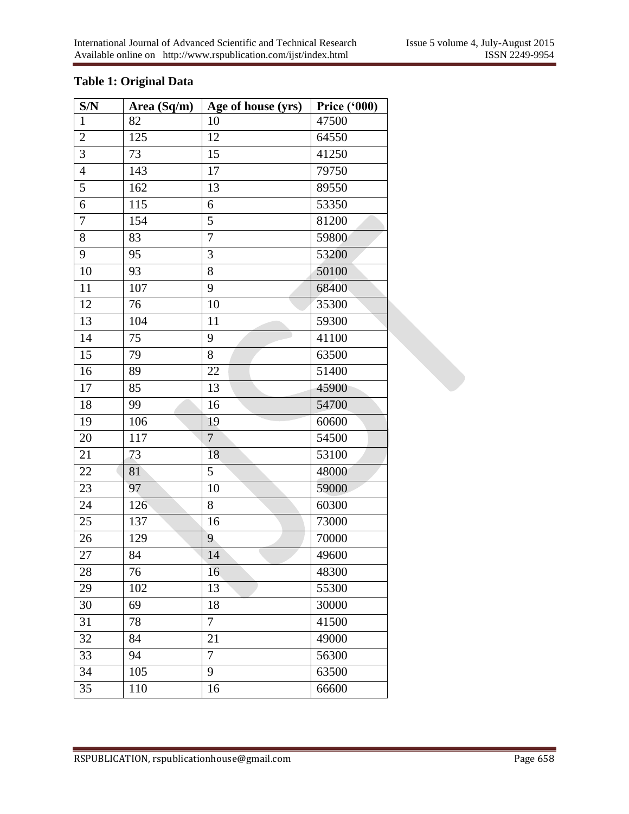## **Table 1: Original Data**

| S/N              | Area $(Sq/m)$ | Age of house (yrs) | Price $(900)$ |
|------------------|---------------|--------------------|---------------|
| $\mathbf{1}$     | 82            | 10                 | 47500         |
| $\sqrt{2}$       | 125           | 12                 | 64550         |
| 3                | 73            | 15                 | 41250         |
| $\overline{4}$   | 143           | 17                 | 79750         |
| 5                | 162           | 13                 | 89550         |
| 6                | 115           | 6                  | 53350         |
| $\boldsymbol{7}$ | 154           | 5                  | 81200         |
| 8                | 83            | $\overline{7}$     | 59800         |
| 9                | 95            | $\mathfrak{Z}$     | 53200         |
| 10               | 93            | 8                  | 50100         |
| 11               | 107           | 9                  | 68400         |
| 12               | 76            | 10                 | 35300         |
| 13               | 104           | 11                 | 59300         |
| 14               | 75            | 9                  | 41100         |
| 15               | 79            | 8                  | 63500         |
| 16               | 89            | 22                 | 51400         |
| 17               | 85            | 13                 | 45900         |
| 18               | 99            | 16                 | 54700         |
| 19               | 106           | 19                 | 60600         |
| $20\,$           | 117           | $\overline{7}$     | 54500         |
| 21               | 73            | 18                 | 53100         |
| 22               | 81            | 5                  | 48000         |
| 23               | 97            | 10                 | 59000         |
| 24               | 126           | 8                  | 60300         |
| 25               | 137           | 16                 | 73000         |
| 26               | 129           | 9                  | 70000         |
| 27               | 84            | 14                 | 49600         |
| 28               | 76            | 16                 | 48300         |
| 29               | 102           | 13                 | 55300         |
| 30               | 69            | 18                 | 30000         |
| 31               | 78            | 7                  | 41500         |
| 32               | 84            | 21                 | 49000         |
| 33               | 94            | $\overline{7}$     | 56300         |
| 34               | 105           | 9                  | 63500         |
| 35               | 110           | 16                 | 66600         |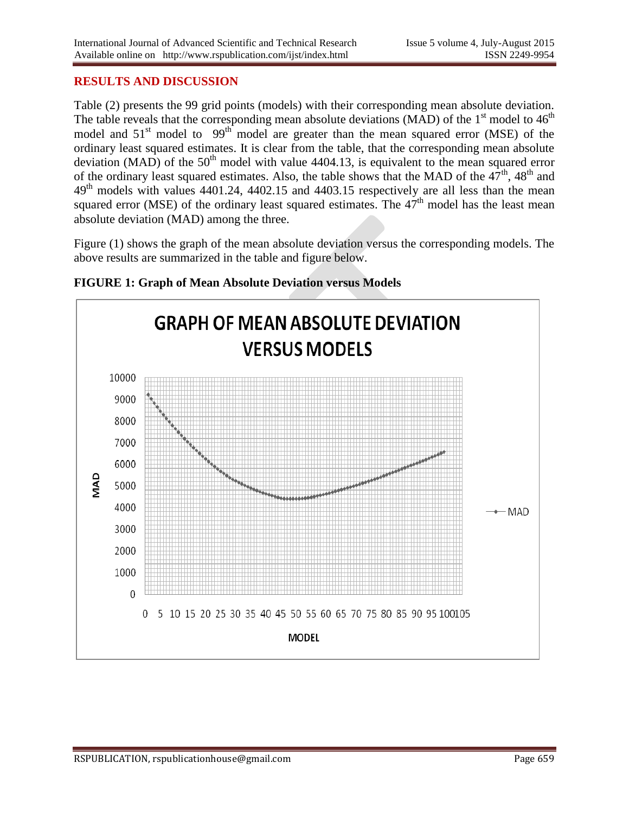### **RESULTS AND DISCUSSION**

Table (2) presents the 99 grid points (models) with their corresponding mean absolute deviation. The table reveals that the corresponding mean absolute deviations (MAD) of the  $1<sup>st</sup>$  model to  $46<sup>th</sup>$ model and  $51<sup>st</sup>$  model to  $99<sup>th</sup>$  model are greater than the mean squared error (MSE) of the ordinary least squared estimates. It is clear from the table, that the corresponding mean absolute deviation (MAD) of the  $50<sup>th</sup>$  model with value 4404.13, is equivalent to the mean squared error of the ordinary least squared estimates. Also, the table shows that the MAD of the  $47<sup>th</sup>$ ,  $48<sup>th</sup>$  and 49th models with values 4401.24, 4402.15 and 4403.15 respectively are all less than the mean squared error (MSE) of the ordinary least squared estimates. The  $47<sup>th</sup>$  model has the least mean absolute deviation (MAD) among the three.

Figure (1) shows the graph of the mean absolute deviation versus the corresponding models. The above results are summarized in the table and figure below.



#### **FIGURE 1: Graph of Mean Absolute Deviation versus Models**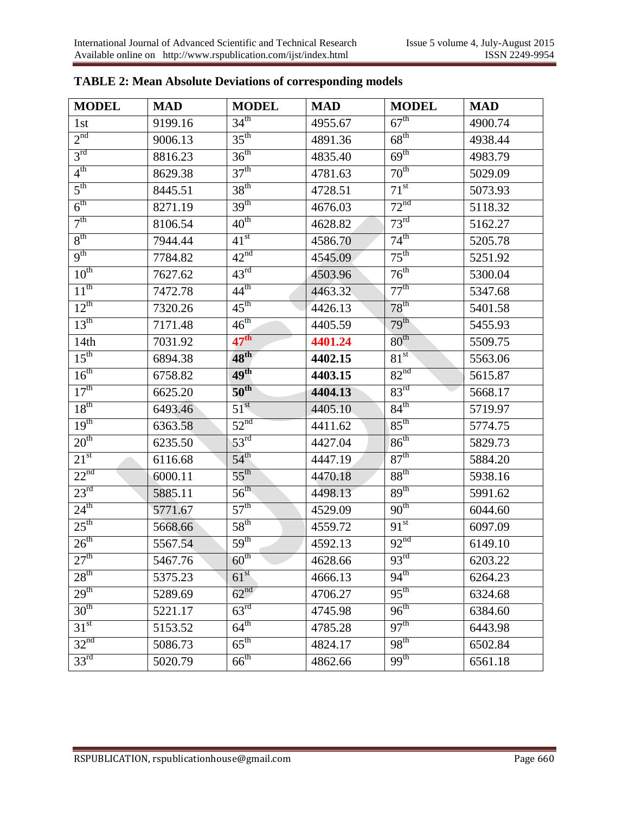| <b>MODEL</b>     | <b>MAD</b> | <b>MODEL</b>     | <b>MAD</b> | <b>MODEL</b>     | <b>MAD</b> |
|------------------|------------|------------------|------------|------------------|------------|
| 1st              | 9199.16    | 34 <sup>th</sup> | 4955.67    | $67^{\text{th}}$ | 4900.74    |
| 2 <sup>nd</sup>  | 9006.13    | $35^{\text{th}}$ | 4891.36    | $68^{\text{th}}$ | 4938.44    |
| 3 <sup>rd</sup>  | 8816.23    | $36^{\text{th}}$ | 4835.40    | 69 <sup>th</sup> | 4983.79    |
| $4^{\text{th}}$  | 8629.38    | 37 <sup>th</sup> | 4781.63    | $70^{\text{th}}$ | 5029.09    |
| $5^{\text{th}}$  | 8445.51    | 38 <sup>th</sup> | 4728.51    | $71^{st}$        | 5073.93    |
| $6^{\text{th}}$  | 8271.19    | 39 <sup>th</sup> | 4676.03    | 72 <sup>nd</sup> | 5118.32    |
| 7 <sup>th</sup>  | 8106.54    | 40 <sup>th</sup> | 4628.82    | 73 <sup>rd</sup> | 5162.27    |
| $8^{\text{th}}$  | 7944.44    | 41 <sup>st</sup> | 4586.70    | $74^{\text{th}}$ | 5205.78    |
| 9 <sup>th</sup>  | 7784.82    | 42 <sup>nd</sup> | 4545.09    | $75^{\text{th}}$ | 5251.92    |
| $10^{th}$        | 7627.62    | $43^{\text{rd}}$ | 4503.96    | $76^{\text{th}}$ | 5300.04    |
| $11^{th}$        | 7472.78    | $44^{\text{th}}$ | 4463.32    | $77^{\text{th}}$ | 5347.68    |
| $12^{th}$        | 7320.26    | $45^{\text{th}}$ | 4426.13    | $78^{\text{th}}$ | 5401.58    |
| 13 <sup>th</sup> | 7171.48    | $46^{\text{th}}$ | 4405.59    | 79 <sup>th</sup> | 5455.93    |
| 14 <sub>th</sub> | 7031.92    | $47^{\text{th}}$ | 4401.24    | $80^{\rm th}$    | 5509.75    |
| $15^{\text{th}}$ | 6894.38    | $48^{\rm th}$    | 4402.15    | 81 <sup>st</sup> | 5563.06    |
| 16 <sup>th</sup> | 6758.82    | 49 <sup>th</sup> | 4403.15    | 82 <sup>nd</sup> | 5615.87    |
| 17 <sup>th</sup> | 6625.20    | $50^{\text{th}}$ | 4404.13    | $83^{\text{rd}}$ | 5668.17    |
| 18 <sup>th</sup> | 6493.46    | $51^{\rm st}$    | 4405.10    | $84^{\text{th}}$ | 5719.97    |
| 19 <sup>th</sup> | 6363.58    | 52 <sup>nd</sup> | 4411.62    | $85^{\text{th}}$ | 5774.75    |
| 20 <sup>th</sup> | 6235.50    | $53^{\text{rd}}$ | 4427.04    | 86 <sup>th</sup> | 5829.73    |
| 21 <sup>st</sup> | 6116.68    | $54^{\text{th}}$ | 4447.19    | $87^{\text{th}}$ | 5884.20    |
| 22 <sup>nd</sup> | 6000.11    | $55^{\text{th}}$ | 4470.18    | 88 <sup>th</sup> | 5938.16    |
| $23^{\text{rd}}$ | 5885.11    | $56^{\text{th}}$ | 4498.13    | 89 <sup>th</sup> | 5991.62    |
| $24^{\text{th}}$ | 5771.67    | 57 <sup>th</sup> | 4529.09    | 90 <sup>th</sup> | 6044.60    |
| $25^{\text{th}}$ | 5668.66    | 58 <sup>th</sup> | 4559.72    | $91^{st}$        | 6097.09    |
| 26 <sup>th</sup> | 5567.54    | 59 <sup>th</sup> | 4592.13    | 92 <sup>nd</sup> | 6149.10    |
| 27 <sup>th</sup> | 5467.76    | 60 <sup>th</sup> | 4628.66    | $93^{\text{rd}}$ | 6203.22    |
| 28 <sup>th</sup> | 5375.23    | 61 <sup>st</sup> | 4666.13    | $94^{\text{th}}$ | 6264.23    |
| 29 <sup>th</sup> | 5289.69    | 62 <sup>nd</sup> | 4706.27    | $95^{\text{th}}$ | 6324.68    |
| 30 <sup>th</sup> | 5221.17    | 63 <sup>rd</sup> | 4745.98    | $96^{\text{th}}$ | 6384.60    |
| 31 <sup>st</sup> | 5153.52    | $64^{\text{th}}$ | 4785.28    | 97 <sup>th</sup> | 6443.98    |
| 32 <sup>nd</sup> | 5086.73    | $65^{\text{th}}$ | 4824.17    | 98 <sup>th</sup> | 6502.84    |
| 33 <sup>rd</sup> | 5020.79    | $66^{\text{th}}$ | 4862.66    | $99^{th}$        | 6561.18    |

# **TABLE 2: Mean Absolute Deviations of corresponding models**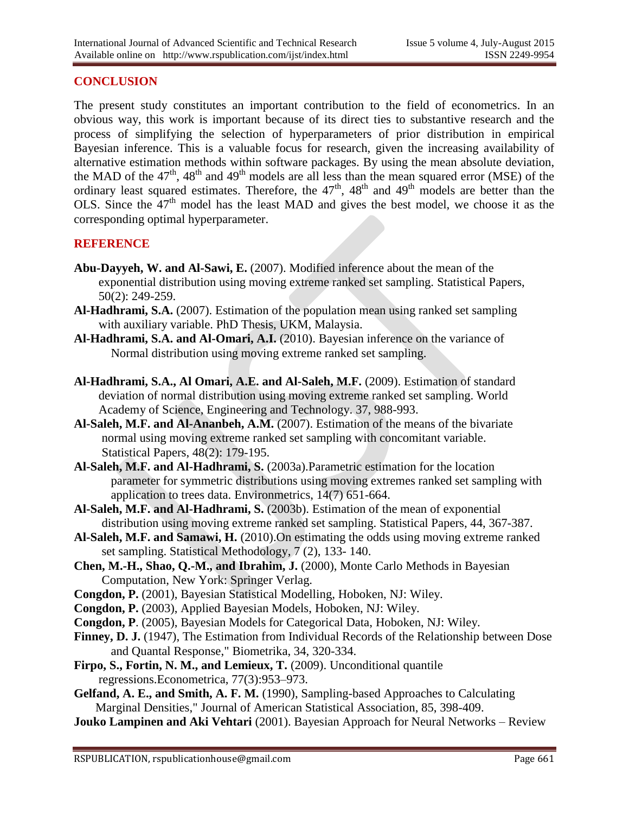### **CONCLUSION**

The present study constitutes an important contribution to the field of econometrics. In an obvious way, this work is important because of its direct ties to substantive research and the process of simplifying the selection of hyperparameters of prior distribution in empirical Bayesian inference. This is a valuable focus for research, given the increasing availability of alternative estimation methods within software packages. By using the mean absolute deviation, the MAD of the  $47<sup>th</sup>$ ,  $48<sup>th</sup>$  and  $49<sup>th</sup>$  models are all less than the mean squared error (MSE) of the ordinary least squared estimates. Therefore, the  $47<sup>th</sup>$ ,  $48<sup>th</sup>$  and  $49<sup>th</sup>$  models are better than the OLS. Since the  $47<sup>th</sup>$  model has the least MAD and gives the best model, we choose it as the corresponding optimal hyperparameter.

#### **REFERENCE**

- **Abu-Dayyeh, W. and Al-Sawi, E.** (2007). Modified inference about the mean of the exponential distribution using moving extreme ranked set sampling. Statistical Papers, 50(2): 249-259.
- **Al-Hadhrami, S.A.** (2007). Estimation of the population mean using ranked set sampling with auxiliary variable. PhD Thesis, UKM, Malaysia.
- **Al-Hadhrami, S.A. and Al-Omari, A.I.** (2010). Bayesian inference on the variance of Normal distribution using moving extreme ranked set sampling.
- **Al-Hadhrami, S.A., Al Omari, A.E. and Al-Saleh, M.F.** (2009). Estimation of standard deviation of normal distribution using moving extreme ranked set sampling. World Academy of Science, Engineering and Technology. 37, 988-993.
- Al-Saleh, M.F. and Al-Ananbeh, A.M. (2007). Estimation of the means of the bivariate normal using moving extreme ranked set sampling with concomitant variable. Statistical Papers, 48(2): 179-195.
- **Al-Saleh, M.F. and Al-Hadhrami, S.** (2003a).Parametric estimation for the location parameter for symmetric distributions using moving extremes ranked set sampling with application to trees data. Environmetrics, 14(7) 651-664.
- **Al-Saleh, M.F. and Al-Hadhrami, S.** (2003b). Estimation of the mean of exponential distribution using moving extreme ranked set sampling. Statistical Papers, 44, 367-387.
- **Al-Saleh, M.F. and Samawi, H.** (2010).On estimating the odds using moving extreme ranked set sampling. Statistical Methodology, 7 (2), 133- 140.
- **Chen, M.-H., Shao, Q.-M., and Ibrahim, J.** (2000), Monte Carlo Methods in Bayesian Computation, New York: Springer Verlag.
- **Congdon, P.** (2001), Bayesian Statistical Modelling, Hoboken, NJ: Wiley.
- **Congdon, P.** (2003), Applied Bayesian Models, Hoboken, NJ: Wiley.
- **Congdon, P**. (2005), Bayesian Models for Categorical Data, Hoboken, NJ: Wiley.
- **Finney, D. J.** (1947), The Estimation from Individual Records of the Relationship between Dose and Quantal Response," Biometrika, 34, 320-334.
- **Firpo, S., Fortin, N. M., and Lemieux, T.** (2009). Unconditional quantile regressions.Econometrica, 77(3):953–973.
- **Gelfand, A. E., and Smith, A. F. M.** (1990), Sampling-based Approaches to Calculating Marginal Densities," Journal of American Statistical Association, 85, 398-409.
- **Jouko Lampinen and Aki Vehtari** (2001). Bayesian Approach for Neural Networks Review